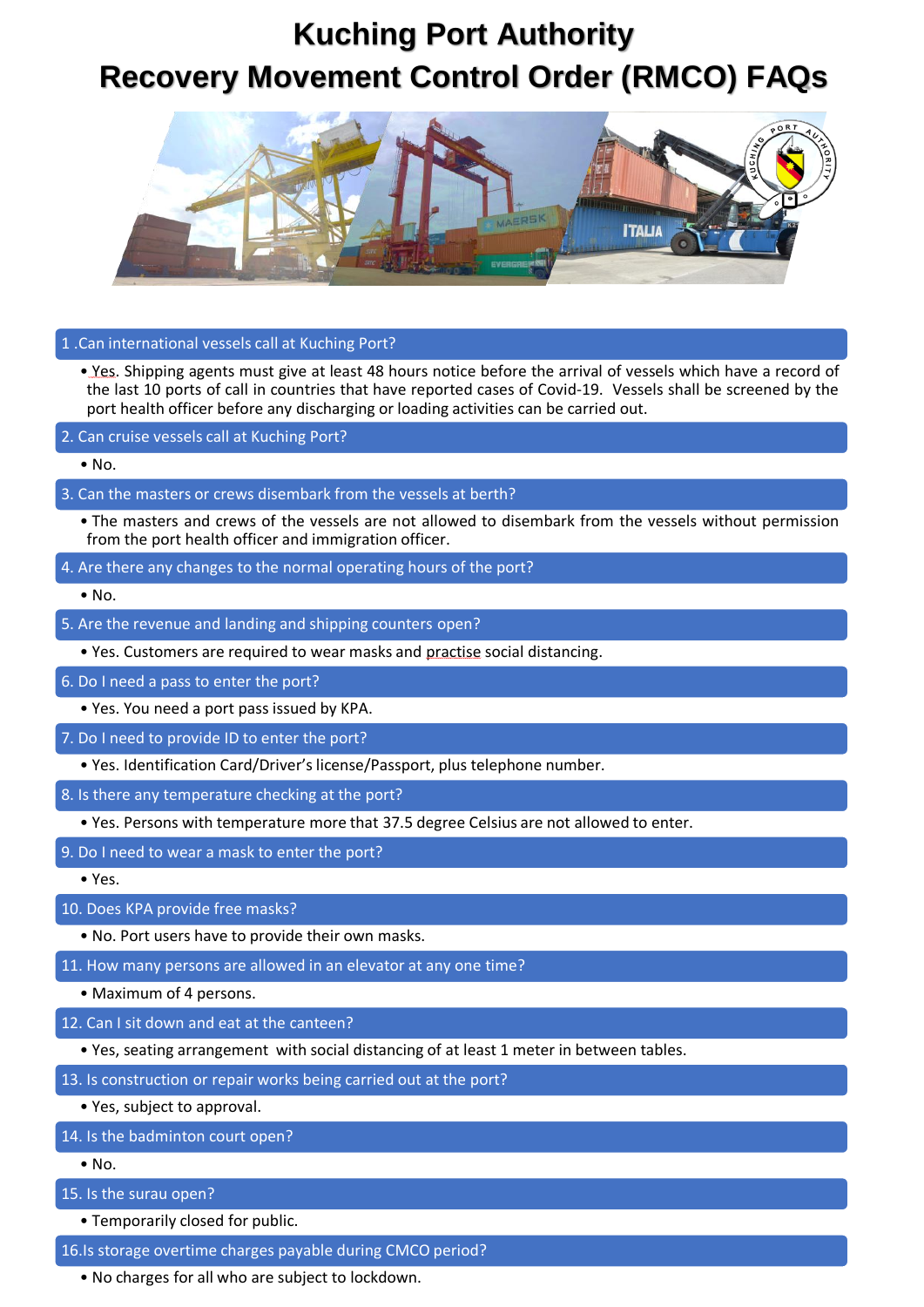## **Kuching Port Authority Recovery Movement Control Order (RMCO) FAQs**



### 1 .Can international vessels call at Kuching Port?

• Yes. Shipping agents must give at least 48 hours notice before the arrival of vessels which have a record of the last 10 ports of call in countries that have reported cases of Covid-19. Vessels shall be screened by the port health officer before any discharging or loading activities can be carried out.

2. Can cruise vessels call at Kuching Port?

• No.

#### 3. Can the masters or crews disembark from the vessels at berth?

- The masters and crews of the vessels are not allowed to disembark from the vessels without permission from the port health officer and immigration officer.
- 4. Are there any changes to the normal operating hours of the port?

 $\bullet$  No.

- 5. Are the revenue and landing and shipping counters open?
	- Yes. Customers are required to wear masks and practise social distancing.

#### 6. Do I need a pass to enter the port?

- Yes. You need a port pass issued by KPA.
- 7. Do I need to provide ID to enter the port?
	- Yes. Identification Card/Driver's license/Passport, plus telephone number.
- 8. Is there any temperature checking at the port?
	- Yes. Persons with temperature more that 37.5 degree Celsius are not allowed to enter.
- 9. Do I need to wear a mask to enter the port?

• Yes.

#### 10. Does KPA provide free masks?

- No. Port users have to provide their own masks.
- 11. How many persons are allowed in an elevator at any one time?
	- Maximum of 4 persons.
- 12. Can I sit down and eat at the canteen?
	- Yes, seating arrangement with social distancing of at least 1 meter in between tables.
- 13. Is construction or repair works being carried out at the port?
	- Yes, subject to approval.
- 14. Is the badminton court open?
	- $\bullet$  No.
- 15. Is the surau open?
	- Temporarily closed for public.
- 16.Is storage overtime charges payable during CMCO period?
	- No charges for all who are subject to lockdown.